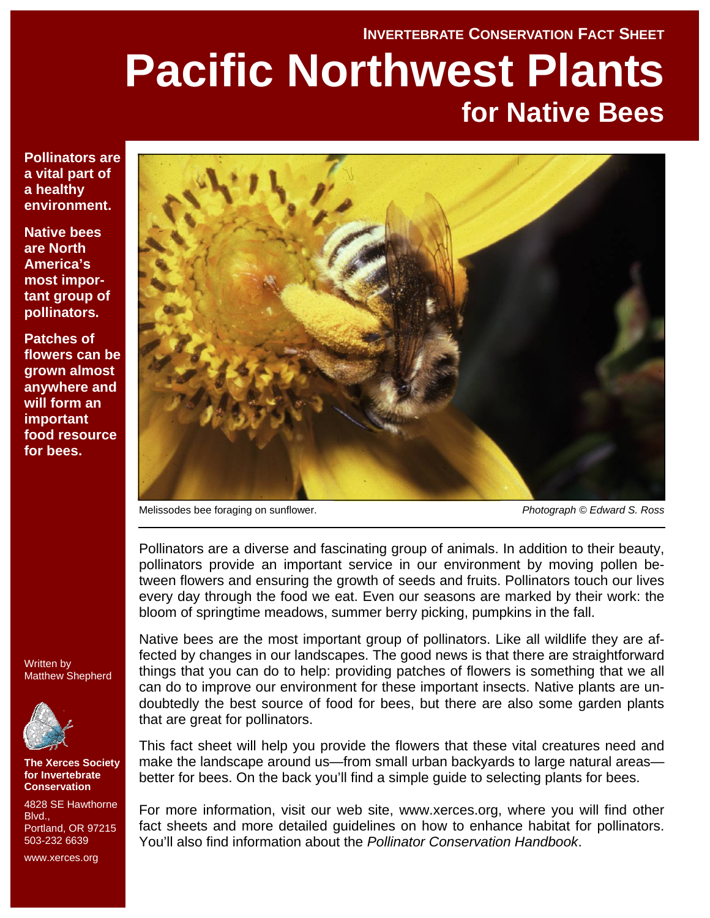# **INVERTEBRATE CONSERVATION FACT SHEET Pacific Northwest Plants for Native Bees**

**Pollinators are a vital part of a healthy environment.** 

**Native bees are North America's most important group of pollinators.** 

**Patches of flowers can be grown almost anywhere and will form an important food resource for bees.** 



Melissodes bee foraging on sunflower. *Photograph © Edward S. Ross*

Pollinators are a diverse and fascinating group of animals. In addition to their beauty, pollinators provide an important service in our environment by moving pollen between flowers and ensuring the growth of seeds and fruits. Pollinators touch our lives every day through the food we eat. Even our seasons are marked by their work: the bloom of springtime meadows, summer berry picking, pumpkins in the fall.

Written by Matthew Shepherd



**The Xerces Society for Invertebrate Conservation** 

4828 SE Hawthorne **Blvd.** Portland, OR 97215 503-232 6639

www.xerces.org

Native bees are the most important group of pollinators. Like all wildlife they are affected by changes in our landscapes. The good news is that there are straightforward things that you can do to help: providing patches of flowers is something that we all can do to improve our environment for these important insects. Native plants are undoubtedly the best source of food for bees, but there are also some garden plants that are great for pollinators.

This fact sheet will help you provide the flowers that these vital creatures need and make the landscape around us—from small urban backyards to large natural areas better for bees. On the back you'll find a simple guide to selecting plants for bees.

For more information, visit our web site, www.xerces.org, where you will find other fact sheets and more detailed guidelines on how to enhance habitat for pollinators. You'll also find information about the *Pollinator Conservation Handbook*.